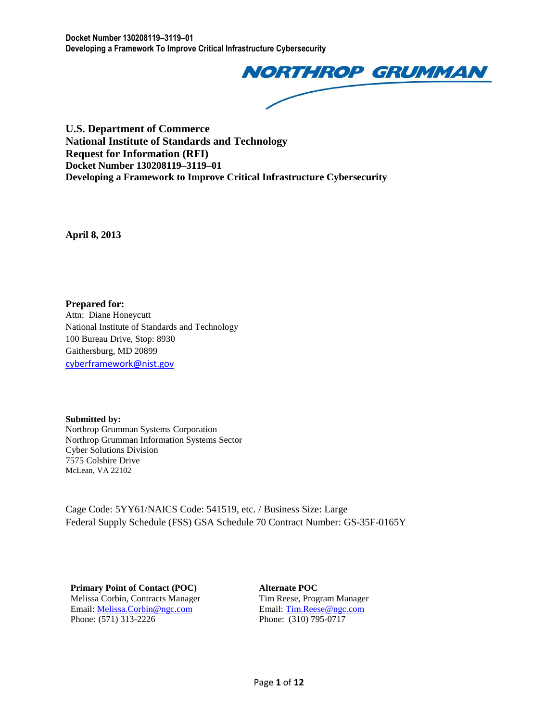**NORTHROP GRUMMAN** 

**U.S. Department of Commerce National Institute of Standards and Technology Request for Information (RFI) Docket Number 130208119–3119–01 Developing a Framework to Improve Critical Infrastructure Cybersecurity**

**April 8, 2013**

**Prepared for:** Attn: Diane Honeycutt National Institute of Standards and Technology 100 Bureau Drive, Stop: 8930 Gaithersburg, MD 20899 [cyberframework@nist.gov](mailto:cyberframework@nist.gov)

**Submitted by:**  Northrop Grumman Systems Corporation Northrop Grumman Information Systems Sector Cyber Solutions Division 7575 Colshire Drive McLean, VA 22102

Cage Code: 5YY61/NAICS Code: 541519, etc. / Business Size: Large Federal Supply Schedule (FSS) GSA Schedule 70 Contract Number: GS-35F-0165Y

**Primary Point of Contact (POC) Alternate POC** Melissa Corbin, Contracts Manager Email: [Melissa.Corbin@ngc.com](mailto:Melissa.Corbin@ngc.com) Phone: (571) 313-2226

Tim Reese, Program Manager Email: [Tim.Reese@ngc.com](mailto:Tim.Reese@ngc.com) Phone: (310) 795-0717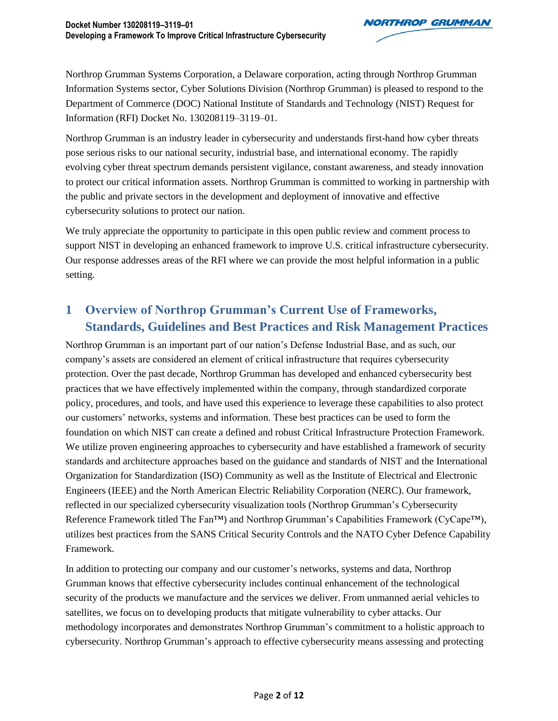

Northrop Grumman Systems Corporation, a Delaware corporation, acting through Northrop Grumman Information Systems sector, Cyber Solutions Division (Northrop Grumman) is pleased to respond to the Department of Commerce (DOC) National Institute of Standards and Technology (NIST) Request for Information (RFI) Docket No. 130208119–3119–01.

Northrop Grumman is an industry leader in cybersecurity and understands first-hand how cyber threats pose serious risks to our national security, industrial base, and international economy. The rapidly evolving cyber threat spectrum demands persistent vigilance, constant awareness, and steady innovation to protect our critical information assets. Northrop Grumman is committed to working in partnership with the public and private sectors in the development and deployment of innovative and effective cybersecurity solutions to protect our nation.

We truly appreciate the opportunity to participate in this open public review and comment process to support NIST in developing an enhanced framework to improve U.S. critical infrastructure cybersecurity. Our response addresses areas of the RFI where we can provide the most helpful information in a public setting.

## **1 Overview of Northrop Grumman's Current Use of Frameworks, Standards, Guidelines and Best Practices and Risk Management Practices**

Northrop Grumman is an important part of our nation's Defense Industrial Base, and as such, our company's assets are considered an element of critical infrastructure that requires cybersecurity protection. Over the past decade, Northrop Grumman has developed and enhanced cybersecurity best practices that we have effectively implemented within the company, through standardized corporate policy, procedures, and tools, and have used this experience to leverage these capabilities to also protect our customers' networks, systems and information. These best practices can be used to form the foundation on which NIST can create a defined and robust Critical Infrastructure Protection Framework. We utilize proven engineering approaches to cybersecurity and have established a framework of security standards and architecture approaches based on the guidance and standards of NIST and the International Organization for Standardization (ISO) Community as well as the Institute of Electrical and Electronic Engineers (IEEE) and the North American Electric Reliability Corporation (NERC). Our framework, reflected in our specialized cybersecurity visualization tools (Northrop Grumman's Cybersecurity Reference Framework titled The Fan™) and Northrop Grumman's Capabilities Framework (CyCape™), utilizes best practices from the SANS Critical Security Controls and the NATO Cyber Defence Capability Framework.

In addition to protecting our company and our customer's networks, systems and data, Northrop Grumman knows that effective cybersecurity includes continual enhancement of the technological security of the products we manufacture and the services we deliver. From unmanned aerial vehicles to satellites, we focus on to developing products that mitigate vulnerability to cyber attacks. Our methodology incorporates and demonstrates Northrop Grumman's commitment to a holistic approach to cybersecurity. Northrop Grumman's approach to effective cybersecurity means assessing and protecting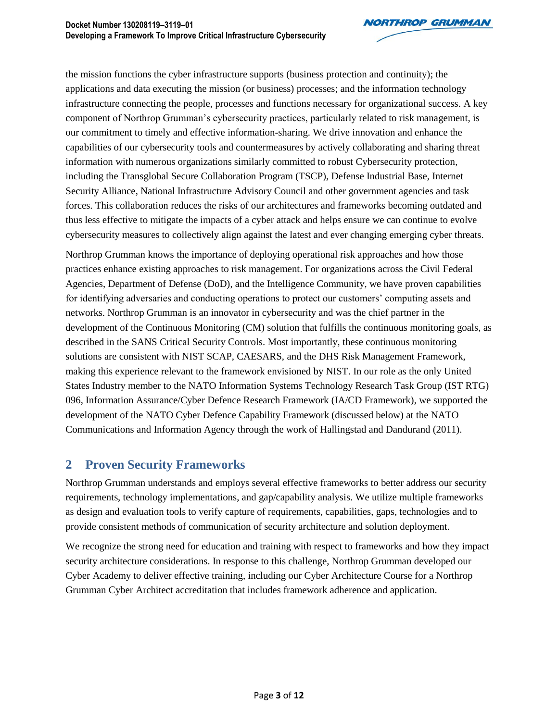

the mission functions the cyber infrastructure supports (business protection and continuity); the applications and data executing the mission (or business) processes; and the information technology infrastructure connecting the people, processes and functions necessary for organizational success. A key component of Northrop Grumman's cybersecurity practices, particularly related to risk management, is our commitment to timely and effective information-sharing. We drive innovation and enhance the capabilities of our cybersecurity tools and countermeasures by actively collaborating and sharing threat information with numerous organizations similarly committed to robust Cybersecurity protection, including the Transglobal Secure Collaboration Program (TSCP), Defense Industrial Base, Internet Security Alliance, National Infrastructure Advisory Council and other government agencies and task forces. This collaboration reduces the risks of our architectures and frameworks becoming outdated and thus less effective to mitigate the impacts of a cyber attack and helps ensure we can continue to evolve cybersecurity measures to collectively align against the latest and ever changing emerging cyber threats.

Northrop Grumman knows the importance of deploying operational risk approaches and how those practices enhance existing approaches to risk management. For organizations across the Civil Federal Agencies, Department of Defense (DoD), and the Intelligence Community, we have proven capabilities for identifying adversaries and conducting operations to protect our customers' computing assets and networks. Northrop Grumman is an innovator in cybersecurity and was the chief partner in the development of the Continuous Monitoring (CM) solution that fulfills the continuous monitoring goals, as described in the SANS Critical Security Controls. Most importantly, these continuous monitoring solutions are consistent with NIST SCAP, CAESARS, and the DHS Risk Management Framework, making this experience relevant to the framework envisioned by NIST. In our role as the only United States Industry member to the NATO Information Systems Technology Research Task Group (IST RTG) 096, Information Assurance/Cyber Defence Research Framework (IA/CD Framework), we supported the development of the NATO Cyber Defence Capability Framework (discussed below) at the NATO Communications and Information Agency through the work of Hallingstad and Dandurand (2011).

## **2 Proven Security Frameworks**

Northrop Grumman understands and employs several effective frameworks to better address our security requirements, technology implementations, and gap/capability analysis. We utilize multiple frameworks as design and evaluation tools to verify capture of requirements, capabilities, gaps, technologies and to provide consistent methods of communication of security architecture and solution deployment.

We recognize the strong need for education and training with respect to frameworks and how they impact security architecture considerations. In response to this challenge, Northrop Grumman developed our Cyber Academy to deliver effective training, including our Cyber Architecture Course for a Northrop Grumman Cyber Architect accreditation that includes framework adherence and application.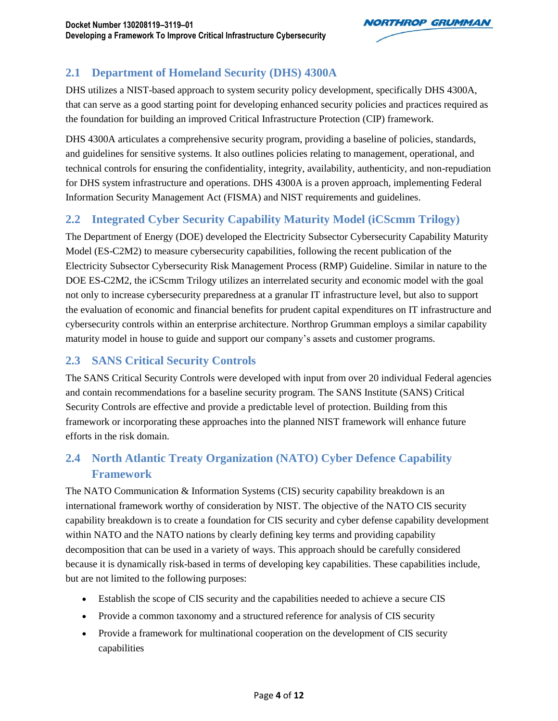

### **2.1 Department of Homeland Security (DHS) 4300A**

DHS utilizes a NIST-based approach to system security policy development, specifically DHS 4300A, that can serve as a good starting point for developing enhanced security policies and practices required as the foundation for building an improved Critical Infrastructure Protection (CIP) framework.

DHS 4300A articulates a comprehensive security program, providing a baseline of policies, standards, and guidelines for sensitive systems. It also outlines policies relating to management, operational, and technical controls for ensuring the confidentiality, integrity, availability, authenticity, and non-repudiation for DHS system infrastructure and operations. DHS 4300A is a proven approach, implementing Federal Information Security Management Act (FISMA) and NIST requirements and guidelines.

## **2.2 Integrated Cyber Security Capability Maturity Model (iCScmm Trilogy)**

The Department of Energy (DOE) developed the Electricity Subsector Cybersecurity Capability Maturity Model (ES-C2M2) to measure cybersecurity capabilities, following the recent publication of the Electricity Subsector Cybersecurity Risk Management Process (RMP) Guideline. Similar in nature to the DOE ES-C2M2, the iCScmm Trilogy utilizes an interrelated security and economic model with the goal not only to increase cybersecurity preparedness at a granular IT infrastructure level, but also to support the evaluation of economic and financial benefits for prudent capital expenditures on IT infrastructure and cybersecurity controls within an enterprise architecture. Northrop Grumman employs a similar capability maturity model in house to guide and support our company's assets and customer programs.

### **2.3 SANS Critical Security Controls**

The SANS Critical Security Controls were developed with input from over 20 individual Federal agencies and contain recommendations for a baseline security program. The SANS Institute (SANS) Critical Security Controls are effective and provide a predictable level of protection. Building from this framework or incorporating these approaches into the planned NIST framework will enhance future efforts in the risk domain.

### **2.4 North Atlantic Treaty Organization (NATO) Cyber Defence Capability Framework**

The NATO Communication & Information Systems (CIS) security capability breakdown is an international framework worthy of consideration by NIST. The objective of the NATO CIS security capability breakdown is to create a foundation for CIS security and cyber defense capability development within NATO and the NATO nations by clearly defining key terms and providing capability decomposition that can be used in a variety of ways. This approach should be carefully considered because it is dynamically risk-based in terms of developing key capabilities. These capabilities include, but are not limited to the following purposes:

- Establish the scope of CIS security and the capabilities needed to achieve a secure CIS
- Provide a common taxonomy and a structured reference for analysis of CIS security
- Provide a framework for multinational cooperation on the development of CIS security capabilities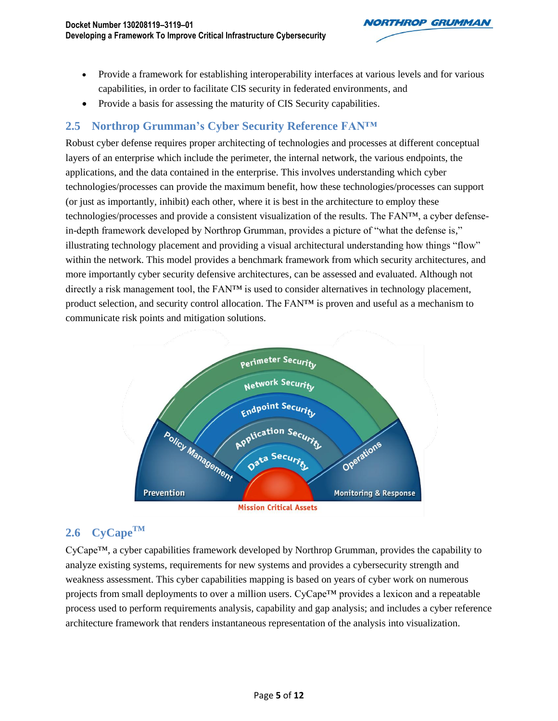

- Provide a framework for establishing interoperability interfaces at various levels and for various capabilities, in order to facilitate CIS security in federated environments, and
- Provide a basis for assessing the maturity of CIS Security capabilities.

#### **2.5 Northrop Grumman's Cyber Security Reference FAN™**

Robust cyber defense requires proper architecting of technologies and processes at different conceptual layers of an enterprise which include the perimeter, the internal network, the various endpoints, the applications, and the data contained in the enterprise. This involves understanding which cyber technologies/processes can provide the maximum benefit, how these technologies/processes can support (or just as importantly, inhibit) each other, where it is best in the architecture to employ these technologies/processes and provide a consistent visualization of the results. The FAN™, a cyber defensein-depth framework developed by Northrop Grumman, provides a picture of "what the defense is," illustrating technology placement and providing a visual architectural understanding how things "flow" within the network. This model provides a benchmark framework from which security architectures, and more importantly cyber security defensive architectures, can be assessed and evaluated. Although not directly a risk management tool, the FAN™ is used to consider alternatives in technology placement, product selection, and security control allocation. The FAN™ is proven and useful as a mechanism to communicate risk points and mitigation solutions.



# **2.6 CyCapeTM**

CyCape™, a cyber capabilities framework developed by Northrop Grumman, provides the capability to analyze existing systems, requirements for new systems and provides a cybersecurity strength and weakness assessment. This cyber capabilities mapping is based on years of cyber work on numerous projects from small deployments to over a million users. CyCape™ provides a lexicon and a repeatable process used to perform requirements analysis, capability and gap analysis; and includes a cyber reference architecture framework that renders instantaneous representation of the analysis into visualization.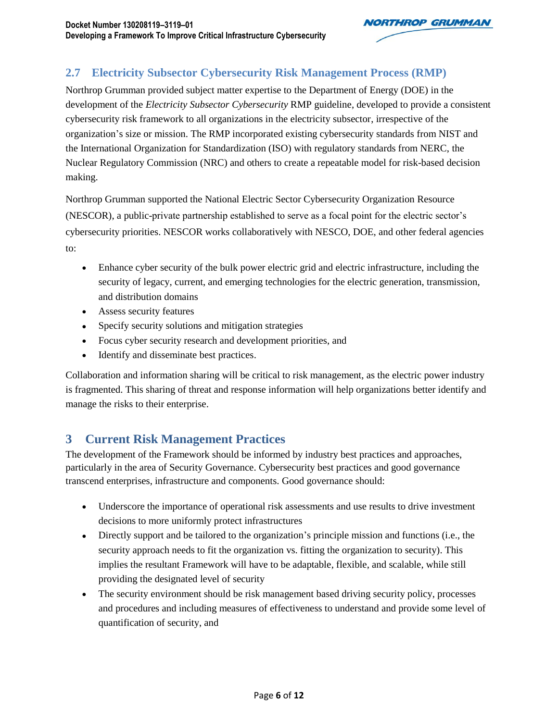

### **2.7 Electricity Subsector Cybersecurity Risk Management Process (RMP)**

Northrop Grumman provided subject matter expertise to the Department of Energy (DOE) in the development of the *Electricity Subsector Cybersecurity* RMP guideline, developed to provide a consistent cybersecurity risk framework to all organizations in the electricity subsector, irrespective of the organization's size or mission. The RMP incorporated existing cybersecurity standards from NIST and the International Organization for Standardization (ISO) with regulatory standards from NERC, the Nuclear Regulatory Commission (NRC) and others to create a repeatable model for risk-based decision making.

Northrop Grumman supported the National Electric Sector Cybersecurity Organization Resource (NESCOR), a public-private partnership established to serve as a focal point for the electric sector's cybersecurity priorities. NESCOR works collaboratively with NESCO, DOE, and other federal agencies to:

- Enhance cyber security of the bulk power electric grid and electric infrastructure, including the security of legacy, current, and emerging technologies for the electric generation, transmission, and distribution domains
- Assess security features
- Specify security solutions and mitigation strategies
- Focus cyber security research and development priorities, and
- Identify and disseminate best practices.

Collaboration and information sharing will be critical to risk management, as the electric power industry is fragmented. This sharing of threat and response information will help organizations better identify and manage the risks to their enterprise.

## **3 Current Risk Management Practices**

The development of the Framework should be informed by industry best practices and approaches, particularly in the area of Security Governance. Cybersecurity best practices and good governance transcend enterprises, infrastructure and components. Good governance should:

- Underscore the importance of operational risk assessments and use results to drive investment decisions to more uniformly protect infrastructures
- Directly support and be tailored to the organization's principle mission and functions (i.e., the security approach needs to fit the organization vs. fitting the organization to security). This implies the resultant Framework will have to be adaptable, flexible, and scalable, while still providing the designated level of security
- The security environment should be risk management based driving security policy, processes and procedures and including measures of effectiveness to understand and provide some level of quantification of security, and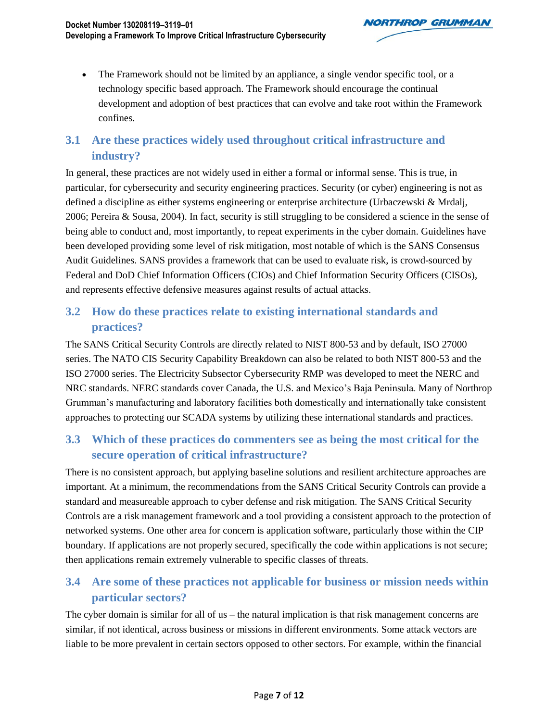

• The Framework should not be limited by an appliance, a single vendor specific tool, or a technology specific based approach. The Framework should encourage the continual development and adoption of best practices that can evolve and take root within the Framework confines.

#### **3.1 Are these practices widely used throughout critical infrastructure and industry?**

In general, these practices are not widely used in either a formal or informal sense. This is true, in particular, for cybersecurity and security engineering practices. Security (or cyber) engineering is not as defined a discipline as either systems engineering or enterprise architecture (Urbaczewski & Mrdalj, 2006; Pereira & Sousa, 2004). In fact, security is still struggling to be considered a science in the sense of being able to conduct and, most importantly, to repeat experiments in the cyber domain. Guidelines have been developed providing some level of risk mitigation, most notable of which is the SANS Consensus Audit Guidelines. SANS provides a framework that can be used to evaluate risk, is crowd-sourced by Federal and DoD Chief Information Officers (CIOs) and Chief Information Security Officers (CISOs), and represents effective defensive measures against results of actual attacks.

## **3.2 How do these practices relate to existing international standards and practices?**

The SANS Critical Security Controls are directly related to NIST 800-53 and by default, ISO 27000 series. The NATO CIS Security Capability Breakdown can also be related to both NIST 800-53 and the ISO 27000 series. The Electricity Subsector Cybersecurity RMP was developed to meet the NERC and NRC standards. NERC standards cover Canada, the U.S. and Mexico's Baja Peninsula. Many of Northrop Grumman's manufacturing and laboratory facilities both domestically and internationally take consistent approaches to protecting our SCADA systems by utilizing these international standards and practices.

### **3.3 Which of these practices do commenters see as being the most critical for the secure operation of critical infrastructure?**

There is no consistent approach, but applying baseline solutions and resilient architecture approaches are important. At a minimum, the recommendations from the SANS Critical Security Controls can provide a standard and measureable approach to cyber defense and risk mitigation. The SANS Critical Security Controls are a risk management framework and a tool providing a consistent approach to the protection of networked systems. One other area for concern is application software, particularly those within the CIP boundary. If applications are not properly secured, specifically the code within applications is not secure; then applications remain extremely vulnerable to specific classes of threats.

### **3.4 Are some of these practices not applicable for business or mission needs within particular sectors?**

The cyber domain is similar for all of us – the natural implication is that risk management concerns are similar, if not identical, across business or missions in different environments. Some attack vectors are liable to be more prevalent in certain sectors opposed to other sectors. For example, within the financial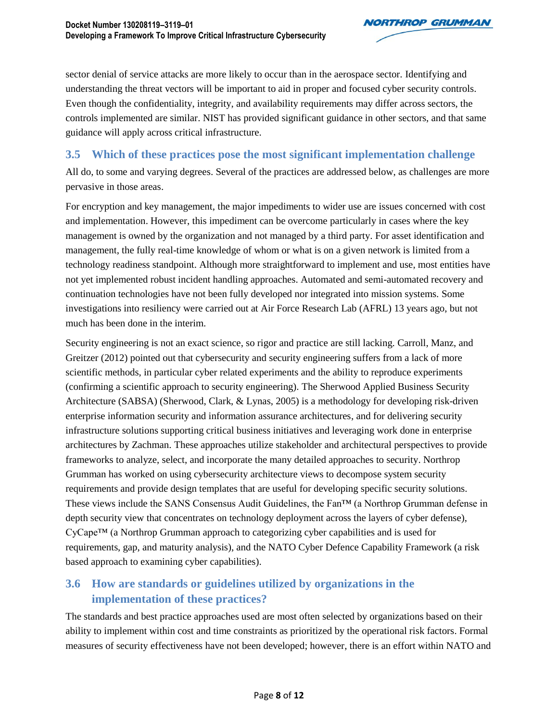sector denial of service attacks are more likely to occur than in the aerospace sector. Identifying and understanding the threat vectors will be important to aid in proper and focused cyber security controls. Even though the confidentiality, integrity, and availability requirements may differ across sectors, the controls implemented are similar. NIST has provided significant guidance in other sectors, and that same guidance will apply across critical infrastructure.

**NORTHROP GRUMMAN** 

#### **3.5 Which of these practices pose the most significant implementation challenge**

All do, to some and varying degrees. Several of the practices are addressed below, as challenges are more pervasive in those areas.

For encryption and key management, the major impediments to wider use are issues concerned with cost and implementation. However, this impediment can be overcome particularly in cases where the key management is owned by the organization and not managed by a third party. For asset identification and management, the fully real-time knowledge of whom or what is on a given network is limited from a technology readiness standpoint. Although more straightforward to implement and use, most entities have not yet implemented robust incident handling approaches. Automated and semi-automated recovery and continuation technologies have not been fully developed nor integrated into mission systems. Some investigations into resiliency were carried out at Air Force Research Lab (AFRL) 13 years ago, but not much has been done in the interim.

Security engineering is not an exact science, so rigor and practice are still lacking. Carroll, Manz, and Greitzer (2012) pointed out that cybersecurity and security engineering suffers from a lack of more scientific methods, in particular cyber related experiments and the ability to reproduce experiments (confirming a scientific approach to security engineering). The Sherwood Applied Business Security Architecture (SABSA) (Sherwood, Clark, & Lynas, 2005) is a methodology for developing risk-driven enterprise information security and information assurance architectures, and for delivering security infrastructure solutions supporting critical business initiatives and leveraging work done in enterprise architectures by Zachman. These approaches utilize stakeholder and architectural perspectives to provide frameworks to analyze, select, and incorporate the many detailed approaches to security. Northrop Grumman has worked on using cybersecurity architecture views to decompose system security requirements and provide design templates that are useful for developing specific security solutions. These views include the SANS Consensus Audit Guidelines, the Fan™ (a Northrop Grumman defense in depth security view that concentrates on technology deployment across the layers of cyber defense), CyCape™ (a Northrop Grumman approach to categorizing cyber capabilities and is used for requirements, gap, and maturity analysis), and the NATO Cyber Defence Capability Framework (a risk based approach to examining cyber capabilities).

### **3.6 How are standards or guidelines utilized by organizations in the implementation of these practices?**

The standards and best practice approaches used are most often selected by organizations based on their ability to implement within cost and time constraints as prioritized by the operational risk factors. Formal measures of security effectiveness have not been developed; however, there is an effort within NATO and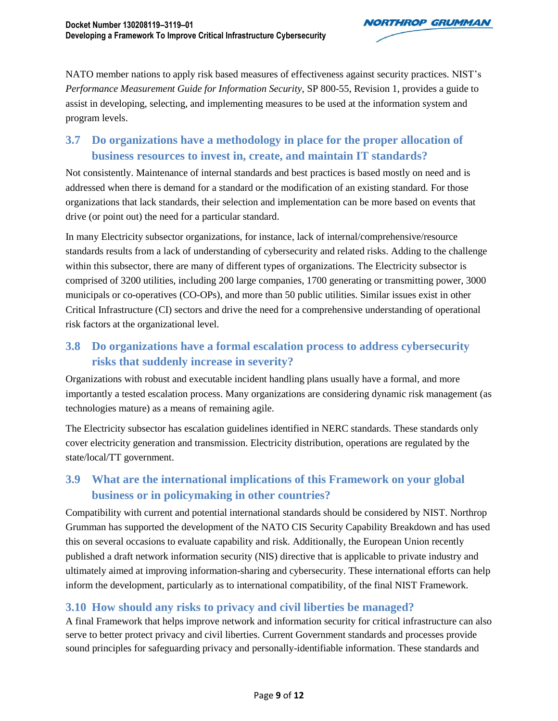

NATO member nations to apply risk based measures of effectiveness against security practices. NIST's *Performance Measurement Guide for Information Security,* SP 800-55, Revision 1, provides a guide to assist in developing, selecting, and implementing measures to be used at the information system and program levels.

#### **3.7 Do organizations have a methodology in place for the proper allocation of business resources to invest in, create, and maintain IT standards?**

Not consistently. Maintenance of internal standards and best practices is based mostly on need and is addressed when there is demand for a standard or the modification of an existing standard. For those organizations that lack standards, their selection and implementation can be more based on events that drive (or point out) the need for a particular standard.

In many Electricity subsector organizations, for instance, lack of internal/comprehensive/resource standards results from a lack of understanding of cybersecurity and related risks. Adding to the challenge within this subsector, there are many of different types of organizations. The Electricity subsector is comprised of 3200 utilities, including 200 large companies, 1700 generating or transmitting power, 3000 municipals or co-operatives (CO-OPs), and more than 50 public utilities. Similar issues exist in other Critical Infrastructure (CI) sectors and drive the need for a comprehensive understanding of operational risk factors at the organizational level.

#### **3.8 Do organizations have a formal escalation process to address cybersecurity risks that suddenly increase in severity?**

Organizations with robust and executable incident handling plans usually have a formal, and more importantly a tested escalation process. Many organizations are considering dynamic risk management (as technologies mature) as a means of remaining agile.

The Electricity subsector has escalation guidelines identified in NERC standards. These standards only cover electricity generation and transmission. Electricity distribution, operations are regulated by the state/local/TT government.

### **3.9 What are the international implications of this Framework on your global business or in policymaking in other countries?**

Compatibility with current and potential international standards should be considered by NIST. Northrop Grumman has supported the development of the NATO CIS Security Capability Breakdown and has used this on several occasions to evaluate capability and risk. Additionally, the European Union recently published a draft network information security (NIS) directive that is applicable to private industry and ultimately aimed at improving information-sharing and cybersecurity. These international efforts can help inform the development, particularly as to international compatibility, of the final NIST Framework.

#### **3.10 How should any risks to privacy and civil liberties be managed?**

A final Framework that helps improve network and information security for critical infrastructure can also serve to better protect privacy and civil liberties. Current Government standards and processes provide sound principles for safeguarding privacy and personally-identifiable information. These standards and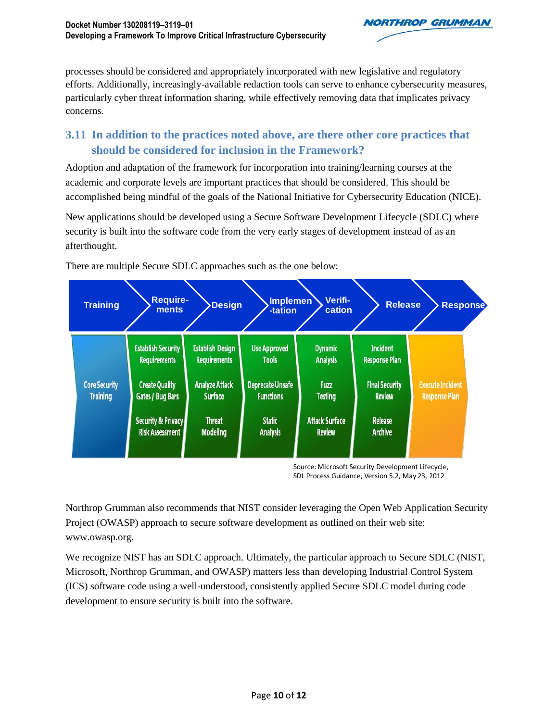processes should be considered and appropriately incorporated with new legislative and regulatory efforts. Additionally, increasingly-available redaction tools can serve to enhance cybersecurity measures, particularly cyber threat information sharing, while effectively removing data that implicates privacy concerns.

### **3.11 In addition to the practices noted above, are there other core practices that should be considered for inclusion in the Framework?**

Adoption and adaptation of the framework for incorporation into training/learning courses at the academic and corporate levels are important practices that should be considered. This should be accomplished being mindful of the goals of the National Initiative for Cybersecurity Education (NICE).

New applications should be developed using a Secure Software Development Lifecycle (SDLC) where security is built into the software code from the very early stages of development instead of as an afterthought.



There are multiple Secure SDLC approaches such as the one below:

Source: Microsoft Security Development Lifecycle, SDL Process Guidance, Version 5.2, May 23, 2012

Northrop Grumman also recommends that NIST consider leveraging the Open Web Application Security Project (OWASP) approach to secure software development as outlined on their web site: [www.owasp.org.](http://www.owasp.org/)

We recognize NIST has an SDLC approach. Ultimately, the particular approach to Secure SDLC (NIST, Microsoft, Northrop Grumman, and OWASP) matters less than developing Industrial Control System (ICS) software code using a well-understood, consistently applied Secure SDLC model during code development to ensure security is built into the software.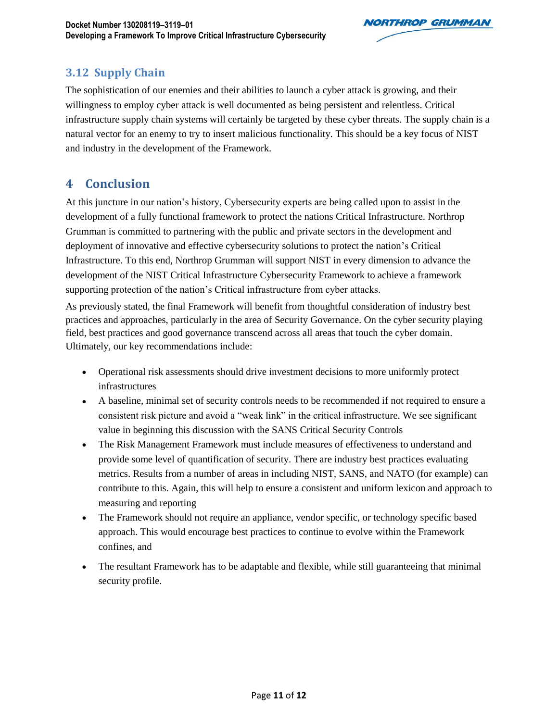

#### **3.12 Supply Chain**

The sophistication of our enemies and their abilities to launch a cyber attack is growing, and their willingness to employ cyber attack is well documented as being persistent and relentless. Critical infrastructure supply chain systems will certainly be targeted by these cyber threats. The supply chain is a natural vector for an enemy to try to insert malicious functionality. This should be a key focus of NIST and industry in the development of the Framework.

### **4 Conclusion**

At this juncture in our nation's history, Cybersecurity experts are being called upon to assist in the development of a fully functional framework to protect the nations Critical Infrastructure. Northrop Grumman is committed to partnering with the public and private sectors in the development and deployment of innovative and effective cybersecurity solutions to protect the nation's Critical Infrastructure. To this end, Northrop Grumman will support NIST in every dimension to advance the development of the NIST Critical Infrastructure Cybersecurity Framework to achieve a framework supporting protection of the nation's Critical infrastructure from cyber attacks.

As previously stated, the final Framework will benefit from thoughtful consideration of industry best practices and approaches, particularly in the area of Security Governance. On the cyber security playing field, best practices and good governance transcend across all areas that touch the cyber domain. Ultimately, our key recommendations include:

- Operational risk assessments should drive investment decisions to more uniformly protect infrastructures
- A baseline, minimal set of security controls needs to be recommended if not required to ensure a consistent risk picture and avoid a "weak link" in the critical infrastructure. We see significant value in beginning this discussion with the SANS Critical Security Controls
- The Risk Management Framework must include measures of effectiveness to understand and provide some level of quantification of security. There are industry best practices evaluating metrics. Results from a number of areas in including NIST, SANS, and NATO (for example) can contribute to this. Again, this will help to ensure a consistent and uniform lexicon and approach to measuring and reporting
- The Framework should not require an appliance, vendor specific, or technology specific based approach. This would encourage best practices to continue to evolve within the Framework confines, and
- The resultant Framework has to be adaptable and flexible, while still guaranteeing that minimal security profile.